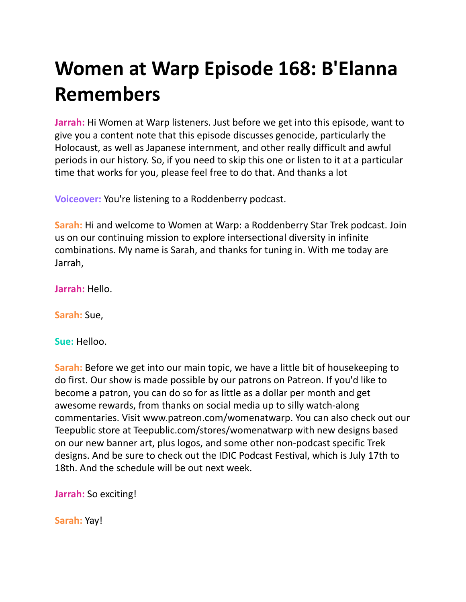## **Women at Warp Episode 168: B'Elanna Remembers**

**Jarrah:** Hi Women at Warp listeners. Just before we get into this episode, want to give you a content note that this episode discusses genocide, particularly the Holocaust, as well as Japanese internment, and other really difficult and awful periods in our history. So, if you need to skip this one or listen to it at a particular time that works for you, please feel free to do that. And thanks a lot

**Voiceover:** You're listening to a Roddenberry podcast.

**Sarah:** Hi and welcome to Women at Warp: a Roddenberry Star Trek podcast. Join us on our continuing mission to explore intersectional diversity in infinite combinations. My name is Sarah, and thanks for tuning in. With me today are Jarrah,

**Jarrah:** Hello.

**Sarah:** Sue,

**Sue:** Helloo.

**Sarah:** Before we get into our main topic, we have a little bit of housekeeping to do first. Our show is made possible by our patrons on Patreon. If you'd like to become a patron, you can do so for as little as a dollar per month and get awesome rewards, from thanks on social media up to silly watch-along commentaries. Visit www.patreon.com/womenatwarp. You can also check out our Teepublic store at Teepublic.com/stores/womenatwarp with new designs based on our new banner art, plus logos, and some other non-podcast specific Trek designs. And be sure to check out the IDIC Podcast Festival, which is July 17th to 18th. And the schedule will be out next week.

**Jarrah:** So exciting!

**Sarah:** Yay!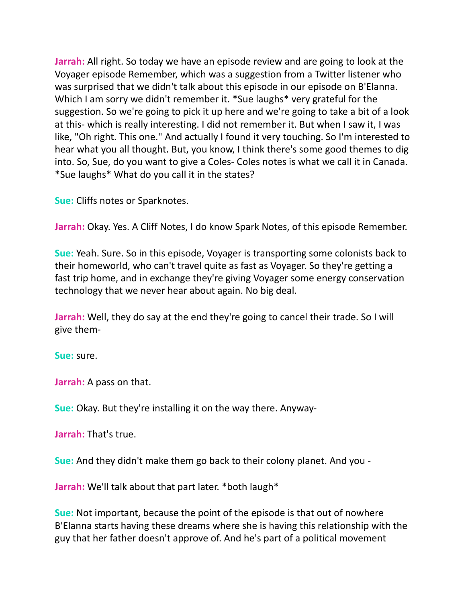**Jarrah:** All right. So today we have an episode review and are going to look at the Voyager episode Remember, which was a suggestion from a Twitter listener who was surprised that we didn't talk about this episode in our episode on B'Elanna. Which I am sorry we didn't remember it. \*Sue laughs\* very grateful for the suggestion. So we're going to pick it up here and we're going to take a bit of a look at this- which is really interesting. I did not remember it. But when I saw it, I was like, "Oh right. This one." And actually I found it very touching. So I'm interested to hear what you all thought. But, you know, I think there's some good themes to dig into. So, Sue, do you want to give a Coles- Coles notes is what we call it in Canada. \*Sue laughs\* What do you call it in the states?

**Sue:** Cliffs notes or Sparknotes.

**Jarrah:** Okay. Yes. A Cliff Notes, I do know Spark Notes, of this episode Remember.

**Sue:** Yeah. Sure. So in this episode, Voyager is transporting some colonists back to their homeworld, who can't travel quite as fast as Voyager. So they're getting a fast trip home, and in exchange they're giving Voyager some energy conservation technology that we never hear about again. No big deal.

**Jarrah:** Well, they do say at the end they're going to cancel their trade. So I will give them-

**Sue:** sure.

**Jarrah:** A pass on that.

**Sue:** Okay. But they're installing it on the way there. Anyway-

**Jarrah:** That's true.

**Sue:** And they didn't make them go back to their colony planet. And you -

**Jarrah:** We'll talk about that part later. \*both laugh\*

**Sue:** Not important, because the point of the episode is that out of nowhere B'Elanna starts having these dreams where she is having this relationship with the guy that her father doesn't approve of. And he's part of a political movement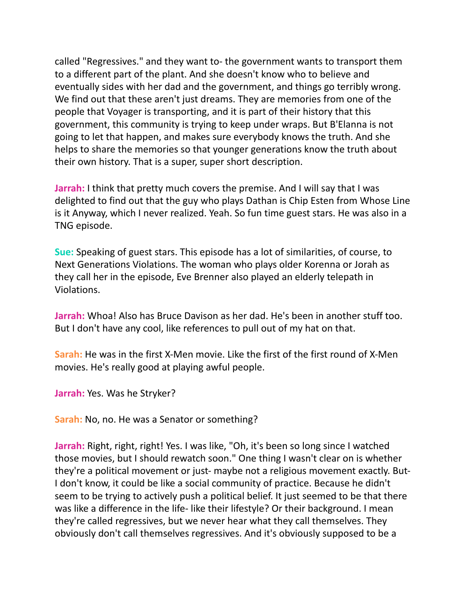called "Regressives." and they want to- the government wants to transport them to a different part of the plant. And she doesn't know who to believe and eventually sides with her dad and the government, and things go terribly wrong. We find out that these aren't just dreams. They are memories from one of the people that Voyager is transporting, and it is part of their history that this government, this community is trying to keep under wraps. But B'Elanna is not going to let that happen, and makes sure everybody knows the truth. And she helps to share the memories so that younger generations know the truth about their own history. That is a super, super short description.

**Jarrah:** I think that pretty much covers the premise. And I will say that I was delighted to find out that the guy who plays Dathan is Chip Esten from Whose Line is it Anyway, which I never realized. Yeah. So fun time guest stars. He was also in a TNG episode.

**Sue:** Speaking of guest stars. This episode has a lot of similarities, of course, to Next Generations Violations. The woman who plays older Korenna or Jorah as they call her in the episode, Eve Brenner also played an elderly telepath in Violations.

**Jarrah:** Whoa! Also has Bruce Davison as her dad. He's been in another stuff too. But I don't have any cool, like references to pull out of my hat on that.

**Sarah:** He was in the first X-Men movie. Like the first of the first round of X-Men movies. He's really good at playing awful people.

**Jarrah:** Yes. Was he Stryker?

**Sarah:** No, no. He was a Senator or something?

**Jarrah:** Right, right, right! Yes. I was like, "Oh, it's been so long since I watched those movies, but I should rewatch soon." One thing I wasn't clear on is whether they're a political movement or just- maybe not a religious movement exactly. But-I don't know, it could be like a social community of practice. Because he didn't seem to be trying to actively push a political belief. It just seemed to be that there was like a difference in the life- like their lifestyle? Or their background. I mean they're called regressives, but we never hear what they call themselves. They obviously don't call themselves regressives. And it's obviously supposed to be a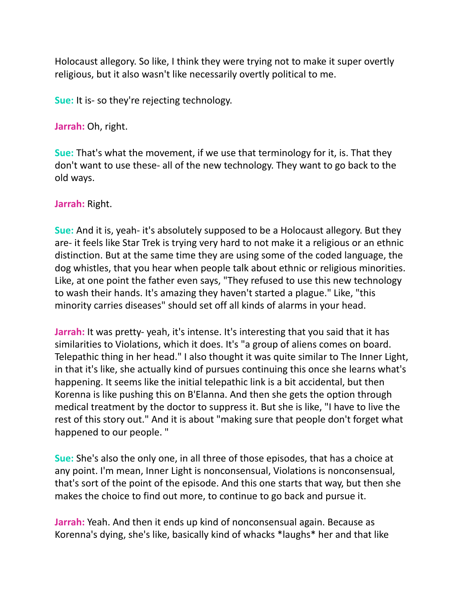Holocaust allegory. So like, I think they were trying not to make it super overtly religious, but it also wasn't like necessarily overtly political to me.

**Sue:** It is- so they're rejecting technology.

**Jarrah:** Oh, right.

**Sue:** That's what the movement, if we use that terminology for it, is. That they don't want to use these- all of the new technology. They want to go back to the old ways.

**Jarrah:** Right.

**Sue:** And it is, yeah- it's absolutely supposed to be a Holocaust allegory. But they are- it feels like Star Trek is trying very hard to not make it a religious or an ethnic distinction. But at the same time they are using some of the coded language, the dog whistles, that you hear when people talk about ethnic or religious minorities. Like, at one point the father even says, "They refused to use this new technology to wash their hands. It's amazing they haven't started a plague." Like, "this minority carries diseases" should set off all kinds of alarms in your head.

**Jarrah:** It was pretty-yeah, it's intense. It's interesting that you said that it has similarities to Violations, which it does. It's "a group of aliens comes on board. Telepathic thing in her head." I also thought it was quite similar to The Inner Light, in that it's like, she actually kind of pursues continuing this once she learns what's happening. It seems like the initial telepathic link is a bit accidental, but then Korenna is like pushing this on B'Elanna. And then she gets the option through medical treatment by the doctor to suppress it. But she is like, "I have to live the rest of this story out." And it is about "making sure that people don't forget what happened to our people. "

**Sue:** She's also the only one, in all three of those episodes, that has a choice at any point. I'm mean, Inner Light is nonconsensual, Violations is nonconsensual, that's sort of the point of the episode. And this one starts that way, but then she makes the choice to find out more, to continue to go back and pursue it.

**Jarrah:** Yeah. And then it ends up kind of nonconsensual again. Because as Korenna's dying, she's like, basically kind of whacks \*laughs\* her and that like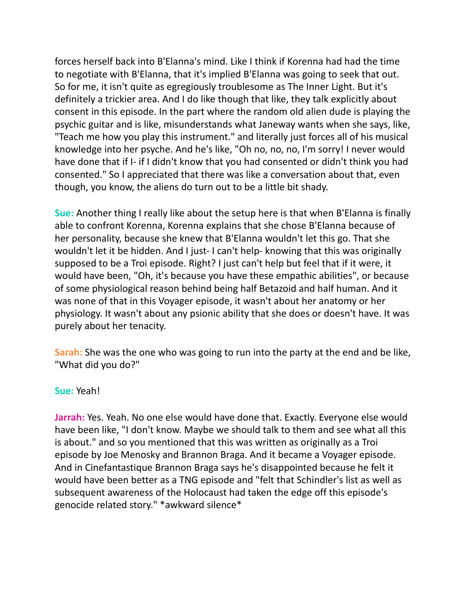forces herself back into B'Elanna's mind. Like I think if Korenna had had the time to negotiate with B'Elanna, that it's implied B'Elanna was going to seek that out. So for me, it isn't quite as egregiously troublesome as The Inner Light. But it's definitely a trickier area. And I do like though that like, they talk explicitly about consent in this episode. In the part where the random old alien dude is playing the psychic guitar and is like, misunderstands what Janeway wants when she says, like, "Teach me how you play this instrument." and literally just forces all of his musical knowledge into her psyche. And he's like, "Oh no, no, no, I'm sorry! I never would have done that if I- if I didn't know that you had consented or didn't think you had consented." So I appreciated that there was like a conversation about that, even though, you know, the aliens do turn out to be a little bit shady.

**Sue:** Another thing I really like about the setup here is that when B'Elanna is finally able to confront Korenna, Korenna explains that she chose B'Elanna because of her personality, because she knew that B'Elanna wouldn't let this go. That she wouldn't let it be hidden. And I just- I can't help- knowing that this was originally supposed to be a Troi episode. Right? I just can't help but feel that if it were, it would have been, "Oh, it's because you have these empathic abilities", or because of some physiological reason behind being half Betazoid and half human. And it was none of that in this Voyager episode, it wasn't about her anatomy or her physiology. It wasn't about any psionic ability that she does or doesn't have. It was purely about her tenacity.

**Sarah:** She was the one who was going to run into the party at the end and be like, "What did you do?"

## **Sue:** Yeah!

**Jarrah:** Yes. Yeah. No one else would have done that. Exactly. Everyone else would have been like, "I don't know. Maybe we should talk to them and see what all this is about." and so you mentioned that this was written as originally as a Troi episode by Joe Menosky and Brannon Braga. And it became a Voyager episode. And in Cinefantastique Brannon Braga says he's disappointed because he felt it would have been better as a TNG episode and "felt that Schindler's list as well as subsequent awareness of the Holocaust had taken the edge off this episode's genocide related story." \*awkward silence\*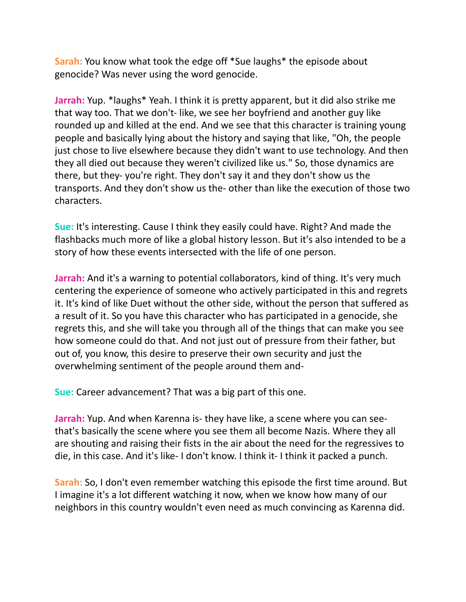**Sarah:** You know what took the edge off \*Sue laughs\* the episode about genocide? Was never using the word genocide.

**Jarrah:** Yup. \*laughs\* Yeah. I think it is pretty apparent, but it did also strike me that way too. That we don't- like, we see her boyfriend and another guy like rounded up and killed at the end. And we see that this character is training young people and basically lying about the history and saying that like, "Oh, the people just chose to live elsewhere because they didn't want to use technology. And then they all died out because they weren't civilized like us." So, those dynamics are there, but they- you're right. They don't say it and they don't show us the transports. And they don't show us the- other than like the execution of those two characters.

**Sue:** It's interesting. Cause I think they easily could have. Right? And made the flashbacks much more of like a global history lesson. But it's also intended to be a story of how these events intersected with the life of one person.

**Jarrah:** And it's a warning to potential collaborators, kind of thing. It's very much centering the experience of someone who actively participated in this and regrets it. It's kind of like Duet without the other side, without the person that suffered as a result of it. So you have this character who has participated in a genocide, she regrets this, and she will take you through all of the things that can make you see how someone could do that. And not just out of pressure from their father, but out of, you know, this desire to preserve their own security and just the overwhelming sentiment of the people around them and-

**Sue:** Career advancement? That was a big part of this one.

**Jarrah:** Yup. And when Karenna is- they have like, a scene where you can seethat's basically the scene where you see them all become Nazis. Where they all are shouting and raising their fists in the air about the need for the regressives to die, in this case. And it's like- I don't know. I think it- I think it packed a punch.

**Sarah:** So, I don't even remember watching this episode the first time around. But I imagine it's a lot different watching it now, when we know how many of our neighbors in this country wouldn't even need as much convincing as Karenna did.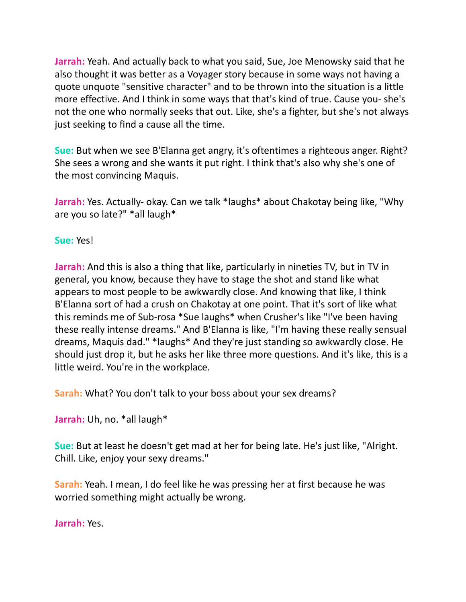**Jarrah:** Yeah. And actually back to what you said, Sue, Joe Menowsky said that he also thought it was better as a Voyager story because in some ways not having a quote unquote "sensitive character" and to be thrown into the situation is a little more effective. And I think in some ways that that's kind of true. Cause you- she's not the one who normally seeks that out. Like, she's a fighter, but she's not always just seeking to find a cause all the time.

**Sue:** But when we see B'Elanna get angry, it's oftentimes a righteous anger. Right? She sees a wrong and she wants it put right. I think that's also why she's one of the most convincing Maquis.

**Jarrah:** Yes. Actually- okay. Can we talk \*laughs\* about Chakotay being like, "Why are you so late?" \*all laugh\*

**Sue:** Yes!

**Jarrah:** And this is also a thing that like, particularly in nineties TV, but in TV in general, you know, because they have to stage the shot and stand like what appears to most people to be awkwardly close. And knowing that like, I think B'Elanna sort of had a crush on Chakotay at one point. That it's sort of like what this reminds me of Sub-rosa \*Sue laughs\* when Crusher's like "I've been having these really intense dreams." And B'Elanna is like, "I'm having these really sensual dreams, Maquis dad." \*laughs\* And they're just standing so awkwardly close. He should just drop it, but he asks her like three more questions. And it's like, this is a little weird. You're in the workplace.

**Sarah:** What? You don't talk to your boss about your sex dreams?

**Jarrah:** Uh, no. \*all laugh\*

**Sue:** But at least he doesn't get mad at her for being late. He's just like, "Alright. Chill. Like, enjoy your sexy dreams."

**Sarah:** Yeah. I mean, I do feel like he was pressing her at first because he was worried something might actually be wrong.

**Jarrah:** Yes.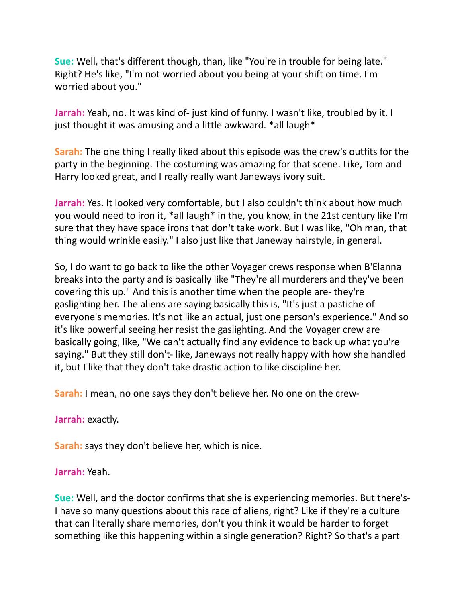**Sue:** Well, that's different though, than, like "You're in trouble for being late." Right? He's like, "I'm not worried about you being at your shift on time. I'm worried about you."

**Jarrah:** Yeah, no. It was kind of- just kind of funny. I wasn't like, troubled by it. I just thought it was amusing and a little awkward. \*all laugh\*

**Sarah:** The one thing I really liked about this episode was the crew's outfits for the party in the beginning. The costuming was amazing for that scene. Like, Tom and Harry looked great, and I really really want Janeways ivory suit.

**Jarrah:** Yes. It looked very comfortable, but I also couldn't think about how much you would need to iron it, \*all laugh\* in the, you know, in the 21st century like I'm sure that they have space irons that don't take work. But I was like, "Oh man, that thing would wrinkle easily." I also just like that Janeway hairstyle, in general.

So, I do want to go back to like the other Voyager crews response when B'Elanna breaks into the party and is basically like "They're all murderers and they've been covering this up." And this is another time when the people are- they're gaslighting her. The aliens are saying basically this is, "It's just a pastiche of everyone's memories. It's not like an actual, just one person's experience." And so it's like powerful seeing her resist the gaslighting. And the Voyager crew are basically going, like, "We can't actually find any evidence to back up what you're saying." But they still don't- like, Janeways not really happy with how she handled it, but I like that they don't take drastic action to like discipline her.

**Sarah:** I mean, no one says they don't believe her. No one on the crew-

**Jarrah:** exactly.

**Sarah:** says they don't believe her, which is nice.

**Jarrah:** Yeah.

**Sue:** Well, and the doctor confirms that she is experiencing memories. But there's-I have so many questions about this race of aliens, right? Like if they're a culture that can literally share memories, don't you think it would be harder to forget something like this happening within a single generation? Right? So that's a part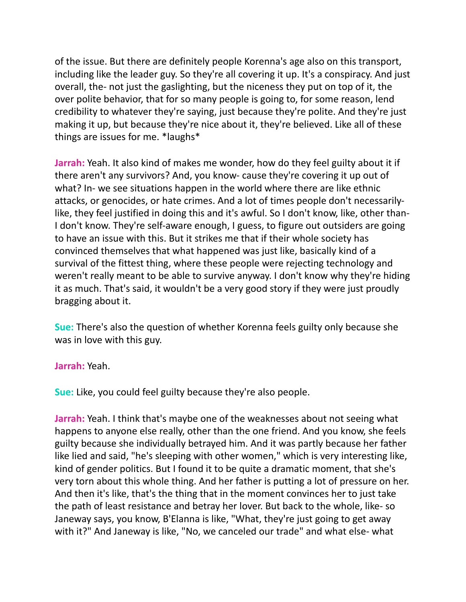of the issue. But there are definitely people Korenna's age also on this transport, including like the leader guy. So they're all covering it up. It's a conspiracy. And just overall, the- not just the gaslighting, but the niceness they put on top of it, the over polite behavior, that for so many people is going to, for some reason, lend credibility to whatever they're saying, just because they're polite. And they're just making it up, but because they're nice about it, they're believed. Like all of these things are issues for me. \*laughs\*

**Jarrah:** Yeah. It also kind of makes me wonder, how do they feel guilty about it if there aren't any survivors? And, you know- cause they're covering it up out of what? In- we see situations happen in the world where there are like ethnic attacks, or genocides, or hate crimes. And a lot of times people don't necessarilylike, they feel justified in doing this and it's awful. So I don't know, like, other than-I don't know. They're self-aware enough, I guess, to figure out outsiders are going to have an issue with this. But it strikes me that if their whole society has convinced themselves that what happened was just like, basically kind of a survival of the fittest thing, where these people were rejecting technology and weren't really meant to be able to survive anyway. I don't know why they're hiding it as much. That's said, it wouldn't be a very good story if they were just proudly bragging about it.

**Sue:** There's also the question of whether Korenna feels guilty only because she was in love with this guy.

## **Jarrah:** Yeah.

**Sue:** Like, you could feel guilty because they're also people.

**Jarrah:** Yeah. I think that's maybe one of the weaknesses about not seeing what happens to anyone else really, other than the one friend. And you know, she feels guilty because she individually betrayed him. And it was partly because her father like lied and said, "he's sleeping with other women," which is very interesting like, kind of gender politics. But I found it to be quite a dramatic moment, that she's very torn about this whole thing. And her father is putting a lot of pressure on her. And then it's like, that's the thing that in the moment convinces her to just take the path of least resistance and betray her lover. But back to the whole, like- so Janeway says, you know, B'Elanna is like, "What, they're just going to get away with it?" And Janeway is like, "No, we canceled our trade" and what else- what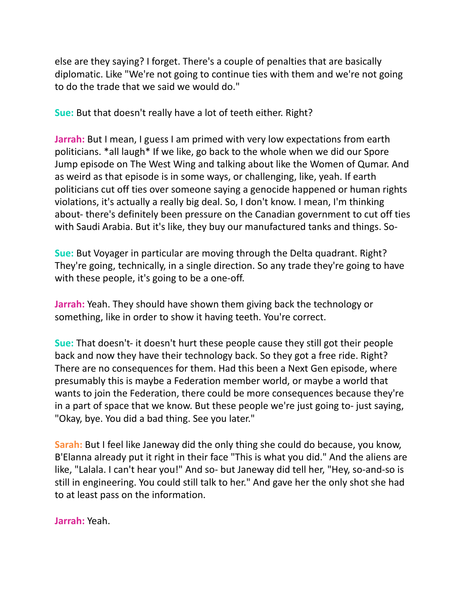else are they saying? I forget. There's a couple of penalties that are basically diplomatic. Like "We're not going to continue ties with them and we're not going to do the trade that we said we would do."

**Sue:** But that doesn't really have a lot of teeth either. Right?

**Jarrah:** But I mean, I guess I am primed with very low expectations from earth politicians. \*all laugh\* If we like, go back to the whole when we did our Spore Jump episode on The West Wing and talking about like the Women of Qumar. And as weird as that episode is in some ways, or challenging, like, yeah. If earth politicians cut off ties over someone saying a genocide happened or human rights violations, it's actually a really big deal. So, I don't know. I mean, I'm thinking about- there's definitely been pressure on the Canadian government to cut off ties with Saudi Arabia. But it's like, they buy our manufactured tanks and things. So-

**Sue:** But Voyager in particular are moving through the Delta quadrant. Right? They're going, technically, in a single direction. So any trade they're going to have with these people, it's going to be a one-off.

**Jarrah:** Yeah. They should have shown them giving back the technology or something, like in order to show it having teeth. You're correct.

**Sue:** That doesn't- it doesn't hurt these people cause they still got their people back and now they have their technology back. So they got a free ride. Right? There are no consequences for them. Had this been a Next Gen episode, where presumably this is maybe a Federation member world, or maybe a world that wants to join the Federation, there could be more consequences because they're in a part of space that we know. But these people we're just going to- just saying, "Okay, bye. You did a bad thing. See you later."

**Sarah:** But I feel like Janeway did the only thing she could do because, you know, B'Elanna already put it right in their face "This is what you did." And the aliens are like, "Lalala. I can't hear you!" And so- but Janeway did tell her, "Hey, so-and-so is still in engineering. You could still talk to her." And gave her the only shot she had to at least pass on the information.

**Jarrah:** Yeah.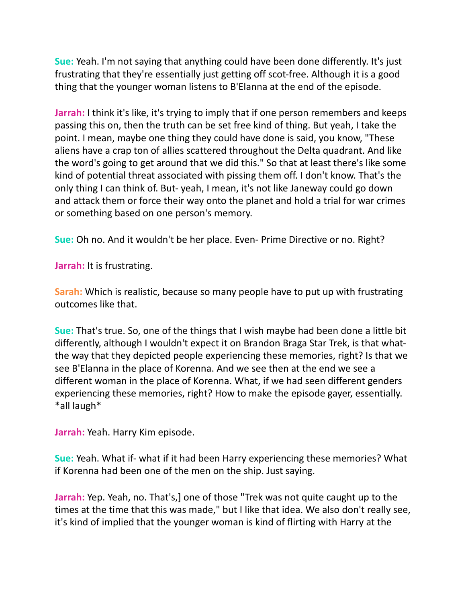**Sue:** Yeah. I'm not saying that anything could have been done differently. It's just frustrating that they're essentially just getting off scot-free. Although it is a good thing that the younger woman listens to B'Elanna at the end of the episode.

**Jarrah:** I think it's like, it's trying to imply that if one person remembers and keeps passing this on, then the truth can be set free kind of thing. But yeah, I take the point. I mean, maybe one thing they could have done is said, you know, "These aliens have a crap ton of allies scattered throughout the Delta quadrant. And like the word's going to get around that we did this." So that at least there's like some kind of potential threat associated with pissing them off. I don't know. That's the only thing I can think of. But- yeah, I mean, it's not like Janeway could go down and attack them or force their way onto the planet and hold a trial for war crimes or something based on one person's memory.

**Sue:** Oh no. And it wouldn't be her place. Even- Prime Directive or no. Right?

**Jarrah:** It is frustrating.

**Sarah:** Which is realistic, because so many people have to put up with frustrating outcomes like that.

**Sue:** That's true. So, one of the things that I wish maybe had been done a little bit differently, although I wouldn't expect it on Brandon Braga Star Trek, is that whatthe way that they depicted people experiencing these memories, right? Is that we see B'Elanna in the place of Korenna. And we see then at the end we see a different woman in the place of Korenna. What, if we had seen different genders experiencing these memories, right? How to make the episode gayer, essentially. \*all laugh\*

**Jarrah:** Yeah. Harry Kim episode.

**Sue:** Yeah. What if- what if it had been Harry experiencing these memories? What if Korenna had been one of the men on the ship. Just saying.

**Jarrah:** Yep. Yeah, no. That's,] one of those "Trek was not quite caught up to the times at the time that this was made," but I like that idea. We also don't really see, it's kind of implied that the younger woman is kind of flirting with Harry at the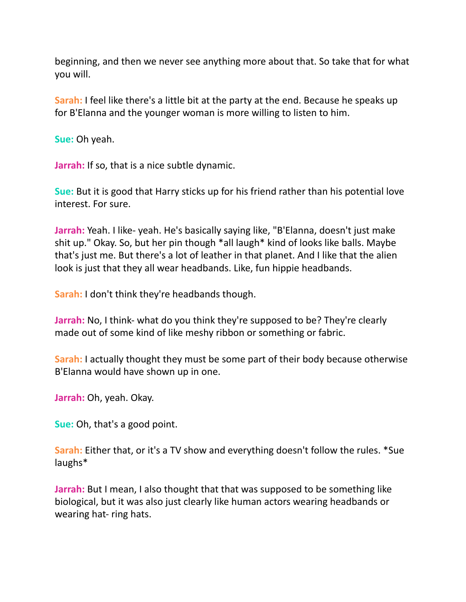beginning, and then we never see anything more about that. So take that for what you will.

**Sarah:** I feel like there's a little bit at the party at the end. Because he speaks up for B'Elanna and the younger woman is more willing to listen to him.

**Sue:** Oh yeah.

**Jarrah:** If so, that is a nice subtle dynamic.

**Sue:** But it is good that Harry sticks up for his friend rather than his potential love interest. For sure.

**Jarrah:** Yeah. I like- yeah. He's basically saying like, "B'Elanna, doesn't just make shit up." Okay. So, but her pin though \*all laugh\* kind of looks like balls. Maybe that's just me. But there's a lot of leather in that planet. And I like that the alien look is just that they all wear headbands. Like, fun hippie headbands.

**Sarah:** I don't think they're headbands though.

**Jarrah:** No, I think- what do you think they're supposed to be? They're clearly made out of some kind of like meshy ribbon or something or fabric.

**Sarah:** I actually thought they must be some part of their body because otherwise B'Elanna would have shown up in one.

**Jarrah:** Oh, yeah. Okay.

**Sue:** Oh, that's a good point.

**Sarah:** Either that, or it's a TV show and everything doesn't follow the rules. \*Sue laughs\*

**Jarrah:** But I mean, I also thought that that was supposed to be something like biological, but it was also just clearly like human actors wearing headbands or wearing hat- ring hats.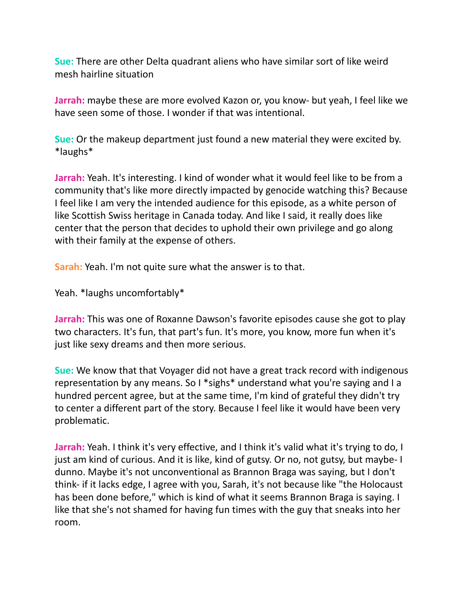**Sue:** There are other Delta quadrant aliens who have similar sort of like weird mesh hairline situation

**Jarrah:** maybe these are more evolved Kazon or, you know- but yeah, I feel like we have seen some of those. I wonder if that was intentional.

**Sue:** Or the makeup department just found a new material they were excited by. \*laughs\*

**Jarrah:** Yeah. It's interesting. I kind of wonder what it would feel like to be from a community that's like more directly impacted by genocide watching this? Because I feel like I am very the intended audience for this episode, as a white person of like Scottish Swiss heritage in Canada today. And like I said, it really does like center that the person that decides to uphold their own privilege and go along with their family at the expense of others.

**Sarah:** Yeah. I'm not quite sure what the answer is to that.

Yeah. \*laughs uncomfortably\*

**Jarrah:** This was one of Roxanne Dawson's favorite episodes cause she got to play two characters. It's fun, that part's fun. It's more, you know, more fun when it's just like sexy dreams and then more serious.

**Sue:** We know that that Voyager did not have a great track record with indigenous representation by any means. So I \*sighs\* understand what you're saying and I a hundred percent agree, but at the same time, I'm kind of grateful they didn't try to center a different part of the story. Because I feel like it would have been very problematic.

Jarrah: Yeah. I think it's very effective, and I think it's valid what it's trying to do, I just am kind of curious. And it is like, kind of gutsy. Or no, not gutsy, but maybe- I dunno. Maybe it's not unconventional as Brannon Braga was saying, but I don't think- if it lacks edge, I agree with you, Sarah, it's not because like "the Holocaust has been done before," which is kind of what it seems Brannon Braga is saying. I like that she's not shamed for having fun times with the guy that sneaks into her room.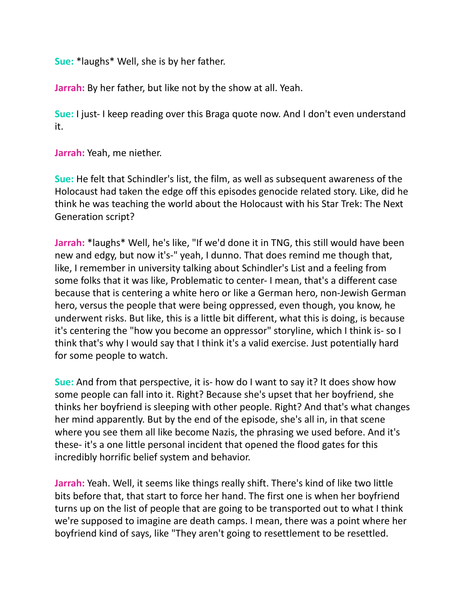**Sue:** \*laughs\* Well, she is by her father.

**Jarrah:** By her father, but like not by the show at all. Yeah.

**Sue:** I just- I keep reading over this Braga quote now. And I don't even understand it.

**Jarrah:** Yeah, me niether.

**Sue:** He felt that Schindler's list, the film, as well as subsequent awareness of the Holocaust had taken the edge off this episodes genocide related story. Like, did he think he was teaching the world about the Holocaust with his Star Trek: The Next Generation script?

**Jarrah:** \*laughs\* Well, he's like, "If we'd done it in TNG, this still would have been new and edgy, but now it's-" yeah, I dunno. That does remind me though that, like, I remember in university talking about Schindler's List and a feeling from some folks that it was like, Problematic to center- I mean, that's a different case because that is centering a white hero or like a German hero, non-Jewish German hero, versus the people that were being oppressed, even though, you know, he underwent risks. But like, this is a little bit different, what this is doing, is because it's centering the "how you become an oppressor" storyline, which I think is- so I think that's why I would say that I think it's a valid exercise. Just potentially hard for some people to watch.

**Sue:** And from that perspective, it is- how do I want to say it? It does show how some people can fall into it. Right? Because she's upset that her boyfriend, she thinks her boyfriend is sleeping with other people. Right? And that's what changes her mind apparently. But by the end of the episode, she's all in, in that scene where you see them all like become Nazis, the phrasing we used before. And it's these- it's a one little personal incident that opened the flood gates for this incredibly horrific belief system and behavior.

**Jarrah:** Yeah. Well, it seems like things really shift. There's kind of like two little bits before that, that start to force her hand. The first one is when her boyfriend turns up on the list of people that are going to be transported out to what I think we're supposed to imagine are death camps. I mean, there was a point where her boyfriend kind of says, like "They aren't going to resettlement to be resettled.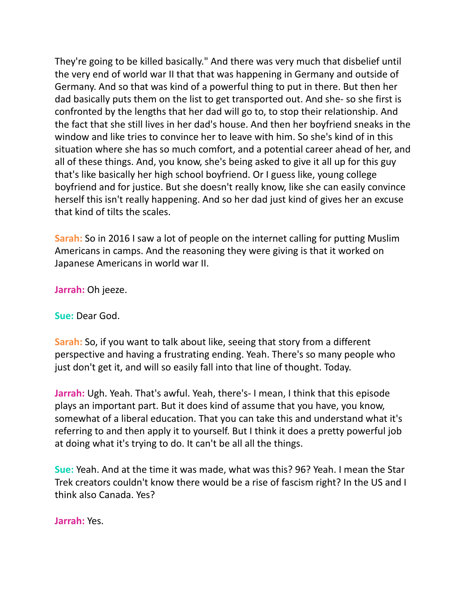They're going to be killed basically." And there was very much that disbelief until the very end of world war II that that was happening in Germany and outside of Germany. And so that was kind of a powerful thing to put in there. But then her dad basically puts them on the list to get transported out. And she- so she first is confronted by the lengths that her dad will go to, to stop their relationship. And the fact that she still lives in her dad's house. And then her boyfriend sneaks in the window and like tries to convince her to leave with him. So she's kind of in this situation where she has so much comfort, and a potential career ahead of her, and all of these things. And, you know, she's being asked to give it all up for this guy that's like basically her high school boyfriend. Or I guess like, young college boyfriend and for justice. But she doesn't really know, like she can easily convince herself this isn't really happening. And so her dad just kind of gives her an excuse that kind of tilts the scales.

**Sarah:** So in 2016 I saw a lot of people on the internet calling for putting Muslim Americans in camps. And the reasoning they were giving is that it worked on Japanese Americans in world war II.

**Jarrah:** Oh jeeze.

**Sue:** Dear God.

**Sarah:** So, if you want to talk about like, seeing that story from a different perspective and having a frustrating ending. Yeah. There's so many people who just don't get it, and will so easily fall into that line of thought. Today.

**Jarrah:** Ugh. Yeah. That's awful. Yeah, there's- I mean, I think that this episode plays an important part. But it does kind of assume that you have, you know, somewhat of a liberal education. That you can take this and understand what it's referring to and then apply it to yourself. But I think it does a pretty powerful job at doing what it's trying to do. It can't be all all the things.

**Sue:** Yeah. And at the time it was made, what was this? 96? Yeah. I mean the Star Trek creators couldn't know there would be a rise of fascism right? In the US and I think also Canada. Yes?

**Jarrah:** Yes.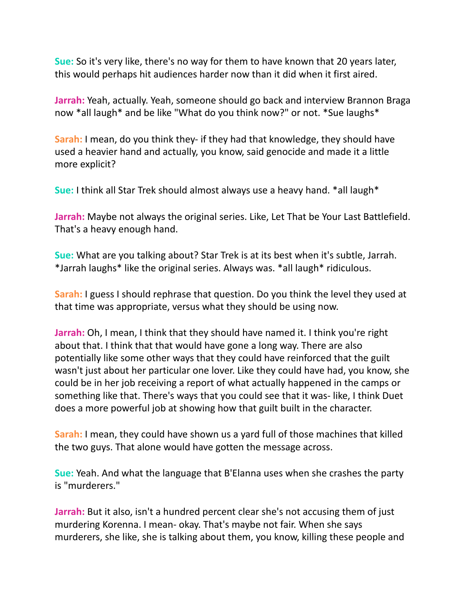**Sue:** So it's very like, there's no way for them to have known that 20 years later, this would perhaps hit audiences harder now than it did when it first aired.

**Jarrah:** Yeah, actually. Yeah, someone should go back and interview Brannon Braga now \*all laugh\* and be like "What do you think now?" or not. \*Sue laughs\*

**Sarah:** I mean, do you think they- if they had that knowledge, they should have used a heavier hand and actually, you know, said genocide and made it a little more explicit?

**Sue:** I think all Star Trek should almost always use a heavy hand. \*all laugh\*

**Jarrah:** Maybe not always the original series. Like, Let That be Your Last Battlefield. That's a heavy enough hand.

**Sue:** What are you talking about? Star Trek is at its best when it's subtle, Jarrah. \*Jarrah laughs\* like the original series. Always was. \*all laugh\* ridiculous.

**Sarah:** I guess I should rephrase that question. Do you think the level they used at that time was appropriate, versus what they should be using now.

**Jarrah:** Oh, I mean, I think that they should have named it. I think you're right about that. I think that that would have gone a long way. There are also potentially like some other ways that they could have reinforced that the guilt wasn't just about her particular one lover. Like they could have had, you know, she could be in her job receiving a report of what actually happened in the camps or something like that. There's ways that you could see that it was- like, I think Duet does a more powerful job at showing how that guilt built in the character.

**Sarah:** I mean, they could have shown us a yard full of those machines that killed the two guys. That alone would have gotten the message across.

**Sue:** Yeah. And what the language that B'Elanna uses when she crashes the party is "murderers."

**Jarrah:** But it also, isn't a hundred percent clear she's not accusing them of just murdering Korenna. I mean- okay. That's maybe not fair. When she says murderers, she like, she is talking about them, you know, killing these people and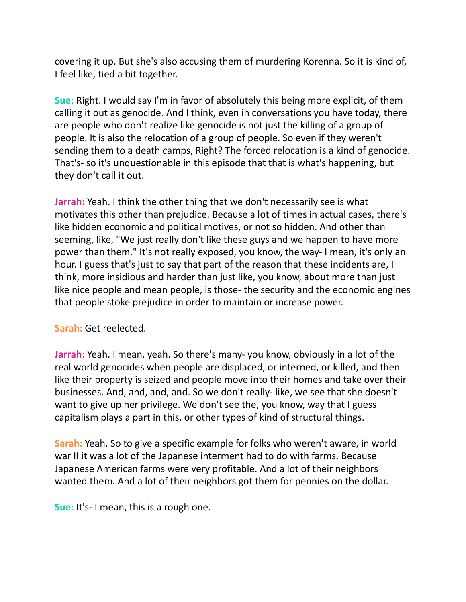covering it up. But she's also accusing them of murdering Korenna. So it is kind of, I feel like, tied a bit together.

**Sue:** Right. I would say I'm in favor of absolutely this being more explicit, of them calling it out as genocide. And I think, even in conversations you have today, there are people who don't realize like genocide is not just the killing of a group of people. It is also the relocation of a group of people. So even if they weren't sending them to a death camps, Right? The forced relocation is a kind of genocide. That's- so it's unquestionable in this episode that that is what's happening, but they don't call it out.

**Jarrah:** Yeah. I think the other thing that we don't necessarily see is what motivates this other than prejudice. Because a lot of times in actual cases, there's like hidden economic and political motives, or not so hidden. And other than seeming, like, "We just really don't like these guys and we happen to have more power than them." It's not really exposed, you know, the way- I mean, it's only an hour. I guess that's just to say that part of the reason that these incidents are, I think, more insidious and harder than just like, you know, about more than just like nice people and mean people, is those- the security and the economic engines that people stoke prejudice in order to maintain or increase power.

## **Sarah:** Get reelected.

**Jarrah:** Yeah. I mean, yeah. So there's many- you know, obviously in a lot of the real world genocides when people are displaced, or interned, or killed, and then like their property is seized and people move into their homes and take over their businesses. And, and, and, and. So we don't really- like, we see that she doesn't want to give up her privilege. We don't see the, you know, way that I guess capitalism plays a part in this, or other types of kind of structural things.

**Sarah:** Yeah. So to give a specific example for folks who weren't aware, in world war II it was a lot of the Japanese interment had to do with farms. Because Japanese American farms were very profitable. And a lot of their neighbors wanted them. And a lot of their neighbors got them for pennies on the dollar.

**Sue:** It's- I mean, this is a rough one.